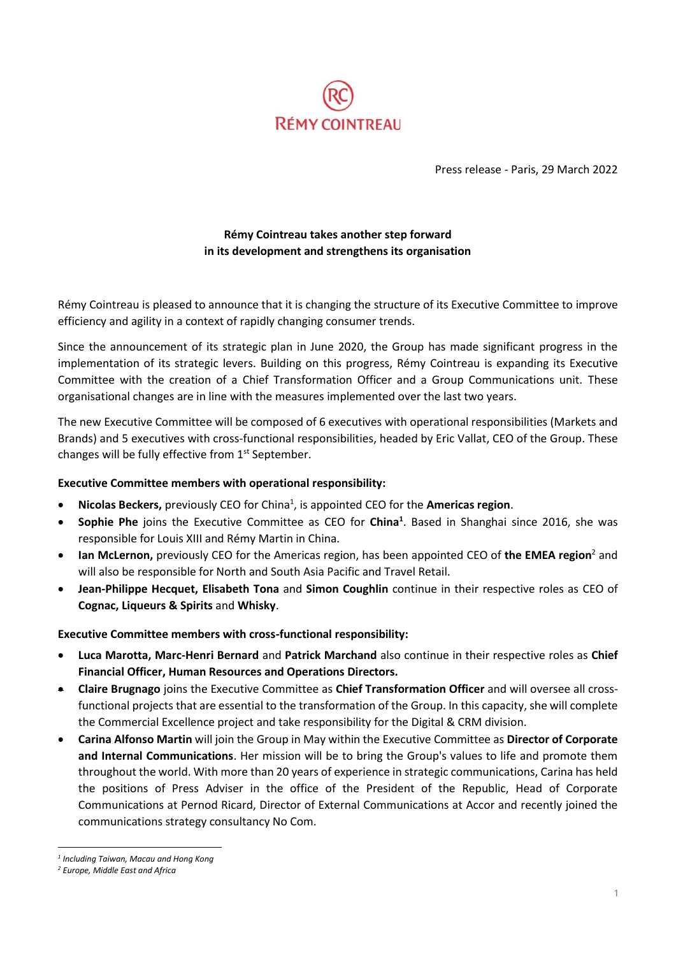

Press release - Paris, 29 March 2022

# **Rémy Cointreau takes another step forward in its development and strengthens its organisation**

Rémy Cointreau is pleased to announce that it is changing the structure of its Executive Committee to improve efficiency and agility in a context of rapidly changing consumer trends.

Since the announcement of its strategic plan in June 2020, the Group has made significant progress in the implementation of its strategic levers. Building on this progress, Rémy Cointreau is expanding its Executive Committee with the creation of a Chief Transformation Officer and a Group Communications unit. These organisational changes are in line with the measures implemented over the last two years.

The new Executive Committee will be composed of 6 executives with operational responsibilities (Markets and Brands) and 5 executives with cross-functional responsibilities, headed by Eric Vallat, CEO of the Group. These changes will be fully effective from 1<sup>st</sup> September.

# **Executive Committee members with operational responsibility:**

- **Nicolas Beckers,** previously CEO for China<sup>1</sup>, is appointed CEO for the **Americas region**.
- **Sophie Phe** joins the Executive Committee as CEO for **China<sup>1</sup>** . Based in Shanghai since 2016, she was responsible for Louis XIII and Rémy Martin in China.
- **Ian McLernon,** previously CEO for the Americas region, has been appointed CEO of **the EMEA region**<sup>2</sup> and will also be responsible for North and South Asia Pacific and Travel Retail.
- **Jean-Philippe Hecquet, Elisabeth Tona** and **Simon Coughlin** continue in their respective roles as CEO of **Cognac, Liqueurs & Spirits** and **Whisky**.

## **Executive Committee members with cross-functional responsibility:**

- **Luca Marotta, Marc-Henri Bernard** and **Patrick Marchand** also continue in their respective roles as **Chief Financial Officer, Human Resources and Operations Directors.**
- **Claire Brugnago** joins the Executive Committee as **Chief Transformation Officer** and will oversee all crossfunctional projects that are essential to the transformation of the Group. In this capacity, she will complete the Commercial Excellence project and take responsibility for the Digital & CRM division.
- **Carina Alfonso Martin** will join the Group in May within the Executive Committee as **Director of Corporate and Internal Communications**. Her mission will be to bring the Group's values to life and promote them throughout the world. With more than 20 years of experience in strategic communications, Carina has held the positions of Press Adviser in the office of the President of the Republic, Head of Corporate Communications at Pernod Ricard, Director of External Communications at Accor and recently joined the communications strategy consultancy No Com.

*<sup>1</sup> Including Taiwan, Macau and Hong Kong*

*<sup>2</sup> Europe, Middle East and Africa*